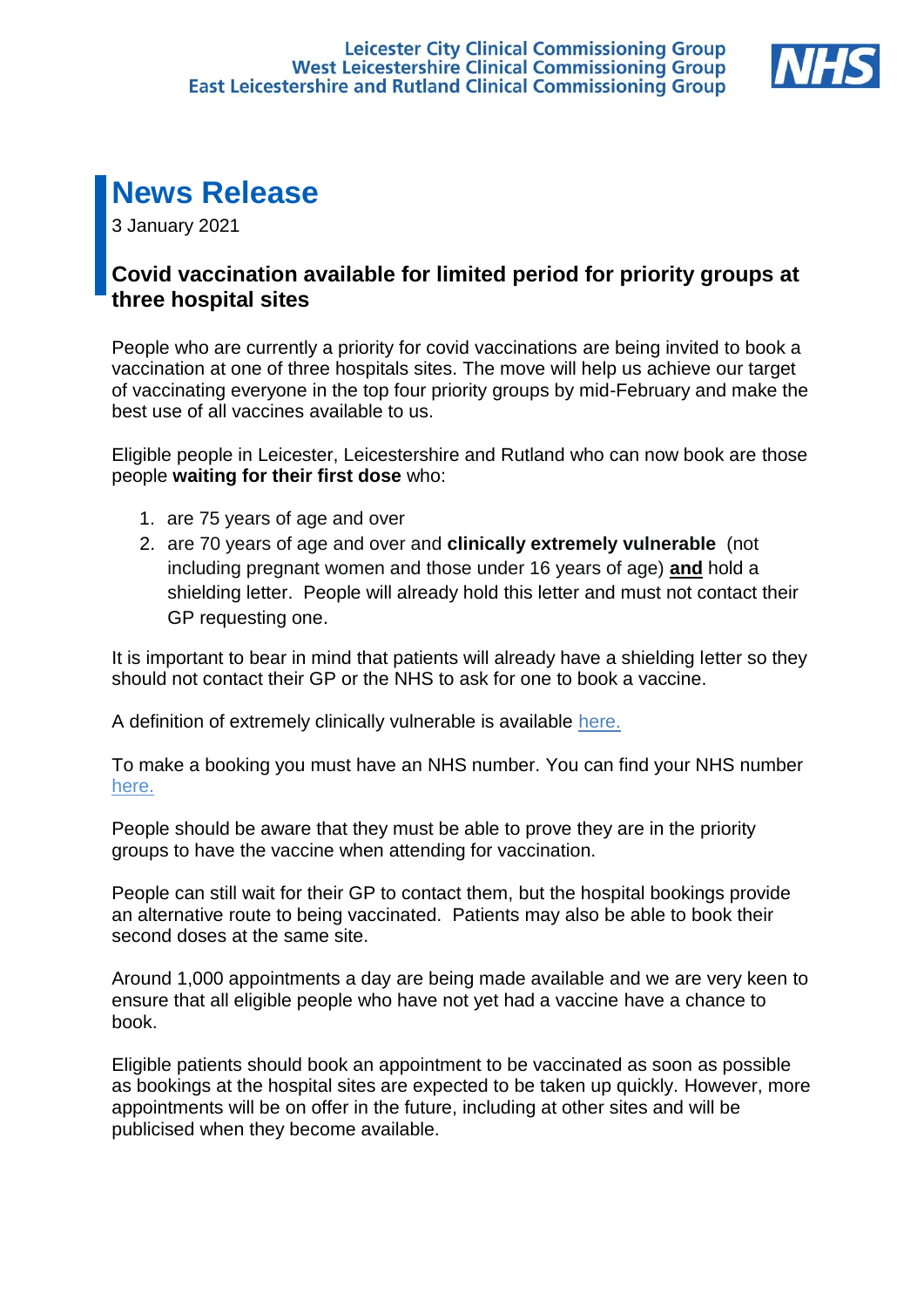

# **News Release**

3 January 2021

## **Covid vaccination available for limited period for priority groups at three hospital sites**

People who are currently a priority for covid vaccinations are being invited to book a vaccination at one of three hospitals sites. The move will help us achieve our target of vaccinating everyone in the top four priority groups by mid-February and make the best use of all vaccines available to us.

Eligible people in Leicester, Leicestershire and Rutland who can now book are those people **waiting for their first dose** who:

- 1. are 75 years of age and over
- 2. are 70 years of age and over and **clinically extremely vulnerable** (not including pregnant women and those under 16 years of age) **and** hold a shielding letter. People will already hold this letter and must not contact their GP requesting one.

It is important to bear in mind that patients will already have a shielding letter so they should not contact their GP or the NHS to ask for one to book a vaccine.

A definition of extremely clinically vulnerable is available [here.](https://www.gov.uk/government/publications/guidance-on-shielding-and-protecting-extremely-vulnerable-persons-from-covid-19/guidance-on-shielding-and-protecting-extremely-vulnerable-persons-from-covid-19#cev)

To make a booking you must have an NHS number. You can find your NHS number [here.](https://www.england.nhs.uk/contact-us/how-can-we-help/how-can-i-find-out-my-nhs-number/)

People should be aware that they must be able to prove they are in the priority groups to have the vaccine when attending for vaccination.

People can still wait for their GP to contact them, but the hospital bookings provide an alternative route to being vaccinated. Patients may also be able to book their second doses at the same site.

Around 1,000 appointments a day are being made available and we are very keen to ensure that all eligible people who have not yet had a vaccine have a chance to book.

Eligible patients should book an appointment to be vaccinated as soon as possible as bookings at the hospital sites are expected to be taken up quickly. However, more appointments will be on offer in the future, including at other sites and will be publicised when they become available.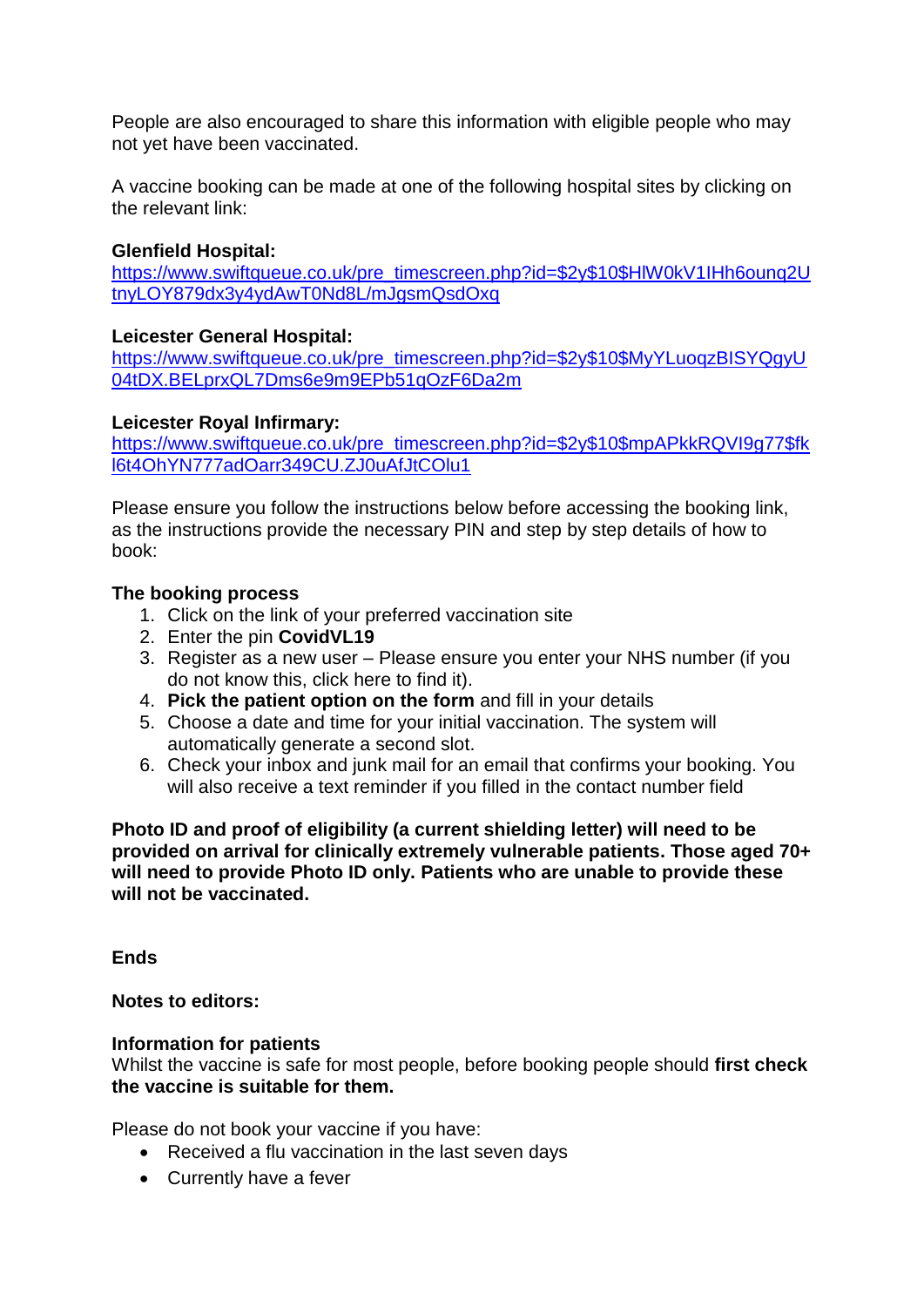People are also encouraged to share this information with eligible people who may not yet have been vaccinated.

A vaccine booking can be made at one of the following hospital sites by clicking on the relevant link:

#### **Glenfield Hospital:**

https://www.swiftqueue.co.uk/pre\_timescreen.php?id=\$2y\$10\$HIW0kV1IHh6ounq2U [tnyLOY879dx3y4ydAwT0Nd8L/mJgsmQsdOxq](https://www.swiftqueue.co.uk/pre_timescreen.php?id=$2y$10$HlW0kV1IHh6ounq2UtnyLOY879dx3y4ydAwT0Nd8L/mJgsmQsdOxq)

#### **Leicester General Hospital:**

[https://www.swiftqueue.co.uk/pre\\_timescreen.php?id=\\$2y\\$10\\$MyYLuoqzBISYQgyU](https://www.swiftqueue.co.uk/pre_timescreen.php?id=$2y$10$MyYLuoqzBISYQgyU04tDX.BELprxQL7Dms6e9m9EPb51qOzF6Da2m) [04tDX.BELprxQL7Dms6e9m9EPb51qOzF6Da2m](https://www.swiftqueue.co.uk/pre_timescreen.php?id=$2y$10$MyYLuoqzBISYQgyU04tDX.BELprxQL7Dms6e9m9EPb51qOzF6Da2m)

#### **Leicester Royal Infirmary:**

[https://www.swiftqueue.co.uk/pre\\_timescreen.php?id=\\$2y\\$10\\$mpAPkkRQVI9g77\\$fk](https://www.swiftqueue.co.uk/pre_timescreen.php?id=$2y$10$mpAPkkRQVI9g77$fkl6t4OhYN777adOarr349CU.ZJ0uAfJtCOlu1) [l6t4OhYN777adOarr349CU.ZJ0uAfJtCOlu1](https://www.swiftqueue.co.uk/pre_timescreen.php?id=$2y$10$mpAPkkRQVI9g77$fkl6t4OhYN777adOarr349CU.ZJ0uAfJtCOlu1)

Please ensure you follow the instructions below before accessing the booking link, as the instructions provide the necessary PIN and step by step details of how to book:

#### **The booking process**

- 1. Click on the link of your preferred vaccination site
- 2. Enter the pin **CovidVL19**
- 3. Register as a new user Please ensure you enter your NHS number (if you do not know this, click here to find it).
- 4. **Pick the patient option on the form** and fill in your details
- 5. Choose a date and time for your initial vaccination. The system will automatically generate a second slot.
- 6. Check your inbox and junk mail for an email that confirms your booking. You will also receive a text reminder if you filled in the contact number field

**Photo ID and proof of eligibility (a current shielding letter) will need to be provided on arrival for clinically extremely vulnerable patients. Those aged 70+ will need to provide Photo ID only. Patients who are unable to provide these will not be vaccinated.** 

**Ends** 

**Notes to editors:** 

#### **Information for patients**

Whilst the vaccine is safe for most people, before booking people should **first check the vaccine is suitable for them.** 

Please do not book your vaccine if you have:

- Received a flu vaccination in the last seven days
- Currently have a fever